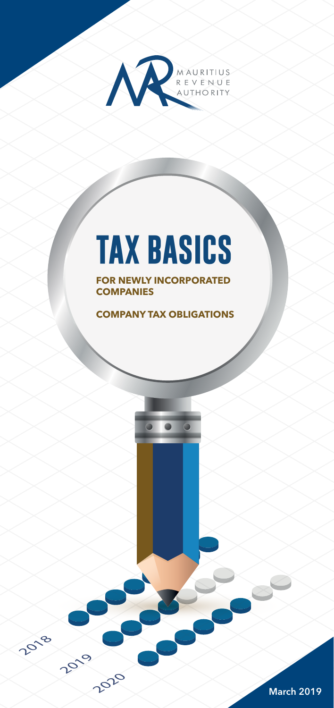

# **TAX BASICS**

**FOR NEWLY INCORPORATED COMPANIES**

**COMPANY TAX OBLIGATIONS**

2019

2020

2018

March 2019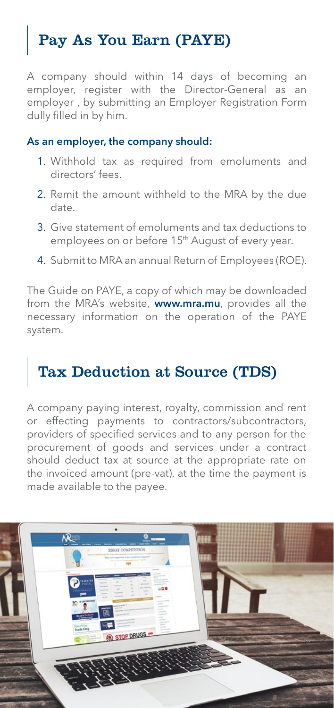# Pay As You Earn (PAYE)

A company should within 14 days of becoming an employer, register with the Director-General as an employer , by submitting an Employer Registration Form dully filled in by him.

#### As an employer, the company should:

- 1. Withhold tax as required from emoluments and directors' fees.
- 2. Remit the amount withheld to the MRA by the due date.
- 3. Give statement of emoluments and tax deductions to employees on or before 15<sup>th</sup> August of every year.
- 4. Submit to MRA an annual Return of Employees (ROE).

The Guide on PAYE, a copy of which may be downloaded from the MRA's website, **www.mra.mu**, provides all the necessary information on the operation of the PAYE system.

# Tax Deduction at Source (TDS)

A company paying interest, royalty, commission and rent or effecting payments to contractors/subcontractors, providers of specified services and to any person for the procurement of goods and services under a contract should deduct tax at source at the appropriate rate on the invoiced amount (pre-vat), at the time the payment is made available to the payee.

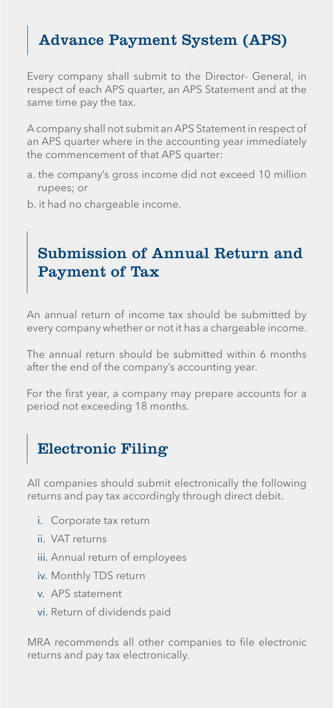# Advance Payment System (APS)

Every company shall submit to the Director- General, in respect of each APS quarter, an APS Statement and at the same time pay the tax.

A company shall not submit an APS Statement in respect of an APS quarter where in the accounting year immediately the commencement of that APS quarter:

- a. the company's gross income did not exceed 10 million rupees; or
- b. it had no chargeable income.

### Submission of Annual Return and Payment of Tax

An annual return of income tax should be submitted by every company whether or not it has a chargeable income.

The annual return should be submitted within 6 months after the end of the company's accounting year.

For the first year, a company may prepare accounts for a period not exceeding 18 months.

# Electronic Filing

All companies should submit electronically the following returns and pay tax accordingly through direct debit.

- i. Corporate tax return
- ii. VAT returns
- iii. Annual return of employees
- iv. Monthly TDS return
- v. APS statement
- vi. Return of dividends paid

MRA recommends all other companies to file electronic returns and pay tax electronically.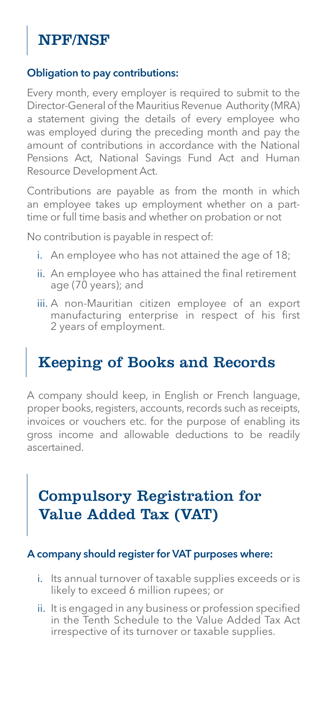# NPF/NSF

#### Obligation to pay contributions:

Every month, every employer is required to submit to the Director-General of the Mauritius Revenue Authority (MRA) a statement giving the details of every employee who was employed during the preceding month and pay the amount of contributions in accordance with the National Pensions Act, National Savings Fund Act and Human Resource Development Act.

Contributions are payable as from the month in which an employee takes up employment whether on a parttime or full time basis and whether on probation or not

No contribution is payable in respect of:

- i. An employee who has not attained the age of 18;
- ii. An employee who has attained the final retirement age (70 years); and
- iii. A non-Mauritian citizen employee of an export manufacturing enterprise in respect of his first 2 years of employment.

## Keeping of Books and Records

A company should keep, in English or French language, proper books, registers, accounts, records such as receipts, invoices or vouchers etc. for the purpose of enabling its gross income and allowable deductions to be readily ascertained.

## Compulsory Registration for Value Added Tax (VAT)

#### A company should register for VAT purposes where:

- i. Its annual turnover of taxable supplies exceeds or is likely to exceed 6 million rupees; or
- ii. It is engaged in any business or profession specified in the Tenth Schedule to the Value Added Tax Act irrespective of its turnover or taxable supplies.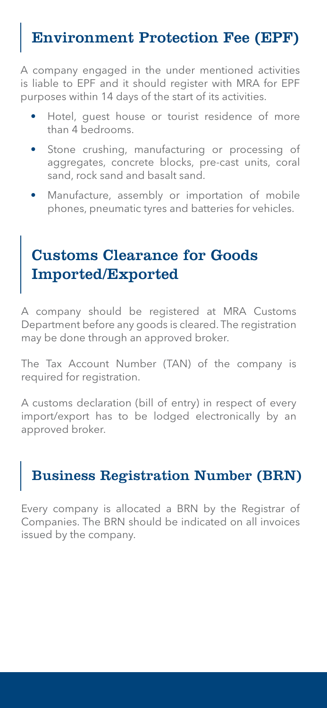# Environment Protection Fee (EPF)

A company engaged in the under mentioned activities is liable to EPF and it should register with MRA for EPF purposes within 14 days of the start of its activities.

- Hotel, quest house or tourist residence of more than 4 bedrooms.
- Stone crushing, manufacturing or processing of aggregates, concrete blocks, pre-cast units, coral sand, rock sand and basalt sand.
- Manufacture, assembly or importation of mobile phones, pneumatic tyres and batteries for vehicles.

## Customs Clearance for Goods Imported/Exported

A company should be registered at MRA Customs Department before any goods is cleared. The registration may be done through an approved broker.

The Tax Account Number (TAN) of the company is required for registration.

A customs declaration (bill of entry) in respect of every import/export has to be lodged electronically by an approved broker.

## Business Registration Number (BRN)

Every company is allocated a BRN by the Registrar of Companies. The BRN should be indicated on all invoices issued by the company.